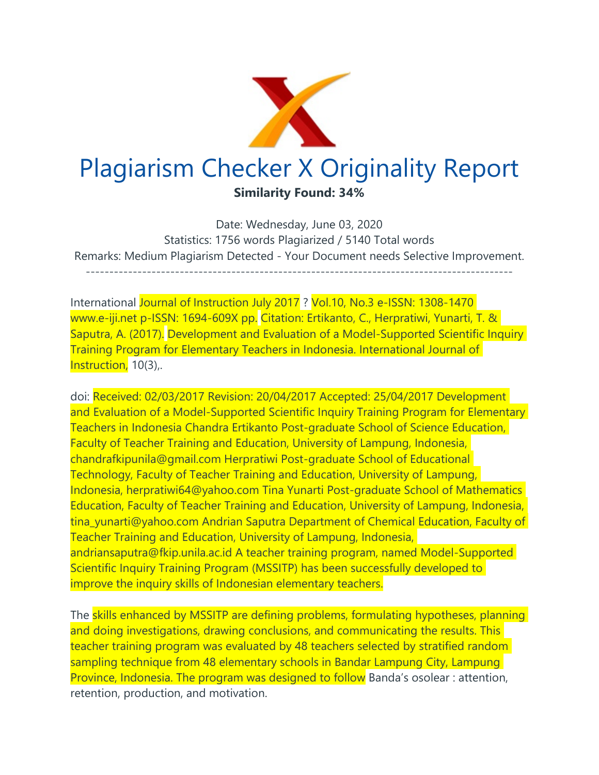

Date: Wednesday, June 03, 2020 Statistics: 1756 words Plagiarized / 5140 Total words Remarks: Medium Plagiarism Detected - Your Document needs Selective Improvement. -------------------------------------------------------------------------------------------

International Journal of Instruction July 2017 ? Vol.10, No.3 e-ISSN: 1308-1470 www.e-iji.net p-ISSN: 1694-609X pp. Citation: Ertikanto, C., Herpratiwi, Yunarti, T. & Saputra, A. (2017). Development and Evaluation of a Model-Supported Scientific Inquiry Training Program for Elementary Teachers in Indonesia. International Journal of Instruction, 10(3),.

doi: Received: 02/03/2017 Revision: 20/04/2017 Accepted: 25/04/2017 Development and Evaluation of a Model-Supported Scientific Inquiry Training Program for Elementary Teachers in Indonesia Chandra Ertikanto Post-graduate School of Science Education, Faculty of Teacher Training and Education, University of Lampung, Indonesia, chandrafkipunila@gmail.com Herpratiwi Post-graduate School of Educational Technology, Faculty of Teacher Training and Education, University of Lampung, Indonesia, herpratiwi64@yahoo.com Tina Yunarti Post-graduate School of Mathematics Education, Faculty of Teacher Training and Education, University of Lampung, Indonesia, tina\_yunarti@yahoo.com Andrian Saputra Department of Chemical Education, Faculty of Teacher Training and Education, University of Lampung, Indonesia, andriansaputra@fkip.unila.ac.id A teacher training program, named Model-Supported Scientific Inquiry Training Program (MSSITP) has been successfully developed to improve the inquiry skills of Indonesian elementary teachers.

The skills enhanced by MSSITP are defining problems, formulating hypotheses, planning and doing investigations, drawing conclusions, and communicating the results. This teacher training program was evaluated by 48 teachers selected by stratified random sampling technique from 48 elementary schools in Bandar Lampung City, Lampung Province, Indonesia. The program was designed to follow Banda's osolear : attention, retention, production, and motivation.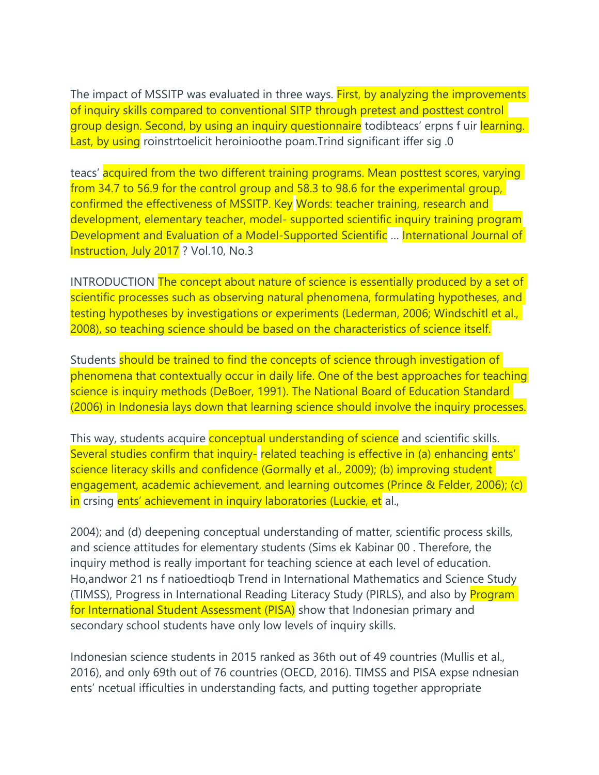The impact of MSSITP was evaluated in three ways. First, by analyzing the improvements of inquiry skills compared to conventional SITP through pretest and posttest control group design. Second, by using an inquiry questionnaire todibteacs' erpns f uir learning. Last, by using roinstrtoelicit heroinioothe poam.Trind significant iffer sig 0.

teacs' acquired from the two different training programs. Mean posttest scores, varying from 34.7 to 56.9 for the control group and 58.3 to 98.6 for the experimental group, confirmed the effectiveness of MSSITP. Key Words: teacher training, research and development, elementary teacher, model- supported scientific inquiry training program Development and Evaluation of a Model-Supported Scientific … International Journal of Instruction, July 2017 ? Vol.10, No.3

INTRODUCTION The concept about nature of science is essentially produced by a set of scientific processes such as observing natural phenomena, formulating hypotheses, and testing hypotheses by investigations or experiments (Lederman, 2006; Windschitl et al., 2008), so teaching science should be based on the characteristics of science itself.

Students should be trained to find the concepts of science through investigation of phenomena that contextually occur in daily life. One of the best approaches for teaching science is inquiry methods (DeBoer, 1991). The National Board of Education Standard (2006) in Indonesia lays down that learning science should involve the inquiry processes.

This way, students acquire **conceptual understanding of science** and scientific skills. Several studies confirm that inquiry- related teaching is effective in (a) enhancing ents' science literacy skills and confidence (Gormally et al., 2009); (b) improving student engagement, academic achievement, and learning outcomes (Prince & Felder, 2006); (c) in crsing ents' achievement in inquiry laboratories (Luckie, et al.,

2004); and (d) deepening conceptual understanding of matter, scientific process skills, and science attitudes for elementary students (Sims ek Kabinar 00 . Therefore, the inquiry method is really important for teaching science at each level of education. Ho,andwor 21 ns f natioedtioqb Trend in International Mathematics and Science Study (TIMSS), Progress in International Reading Literacy Study (PIRLS), and also by Program for International Student Assessment (PISA) show that Indonesian primary and secondary school students have only low levels of inquiry skills.

Indonesian science students in 2015 ranked as 36th out of 49 countries (Mullis et al., 2016), and only 69th out of 76 countries (OECD, 2016). TIMSS and PISA expse ndnesian ents' ncetual ifficulties in understanding facts, and putting together appropriate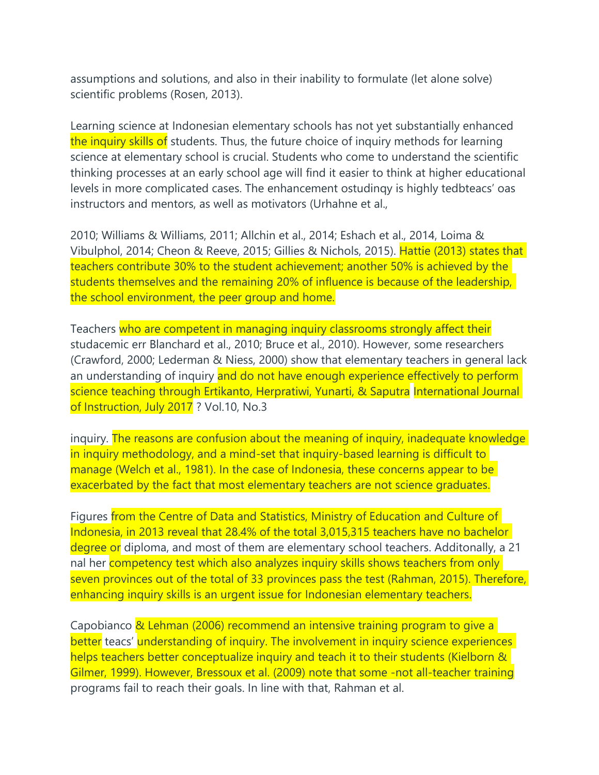assumptions and solutions, and also in their inability to formulate (let alone solve) scientific problems (Rosen, 2013).

Learning science at Indonesian elementary schools has not yet substantially enhanced the inquiry skills of students. Thus, the future choice of inquiry methods for learning science at elementary school is crucial. Students who come to understand the scientific thinking processes at an early school age will find it easier to think at higher educational levels in more complicated cases. The enhancement ostudinqy is highly tedbteacs' oas instructors and mentors, as well as motivators (Urhahne et al.,

2010; Williams & Williams, 2011; Allchin et al., 2014; Eshach et al., 2014, Loima & Vibulphol, 2014; Cheon & Reeve, 2015; Gillies & Nichols, 2015). Hattie (2013) states that teachers contribute 30% to the student achievement; another 50% is achieved by the students themselves and the remaining 20% of influence is because of the leadership, the school environment, the peer group and home.

Teachers who are competent in managing inquiry classrooms strongly affect their studacemic err Blanchard et al., 2010; Bruce et al., 2010). However, some researchers (Crawford, 2000; Lederman & Niess, 2000) show that elementary teachers in general lack an understanding of inquiry and do not have enough experience effectively to perform science teaching through Ertikanto, Herpratiwi, Yunarti, & Saputra International Journal of Instruction, July 2017 ? Vol.10, No.3

inquiry. The reasons are confusion about the meaning of inquiry, inadequate knowledge in inquiry methodology, and a mind-set that inquiry-based learning is difficult to manage (Welch et al., 1981). In the case of Indonesia, these concerns appear to be exacerbated by the fact that most elementary teachers are not science graduates.

Figures from the Centre of Data and Statistics, Ministry of Education and Culture of Indonesia, in 2013 reveal that 28.4% of the total 3,015,315 teachers have no bachelor degree or diploma, and most of them are elementary school teachers. Additonally, a 21 nal her competency test which also analyzes inquiry skills shows teachers from only seven provinces out of the total of 33 provinces pass the test (Rahman, 2015). Therefore, enhancing inquiry skills is an urgent issue for Indonesian elementary teachers.

Capobianco & Lehman (2006) recommend an intensive training program to give a better teacs' understanding of inquiry. The involvement in inquiry science experiences helps teachers better conceptualize inquiry and teach it to their students (Kielborn & Gilmer, 1999). However, Bressoux et al. (2009) note that some -not all-teacher training programs fail to reach their goals. In line with that, Rahman et al.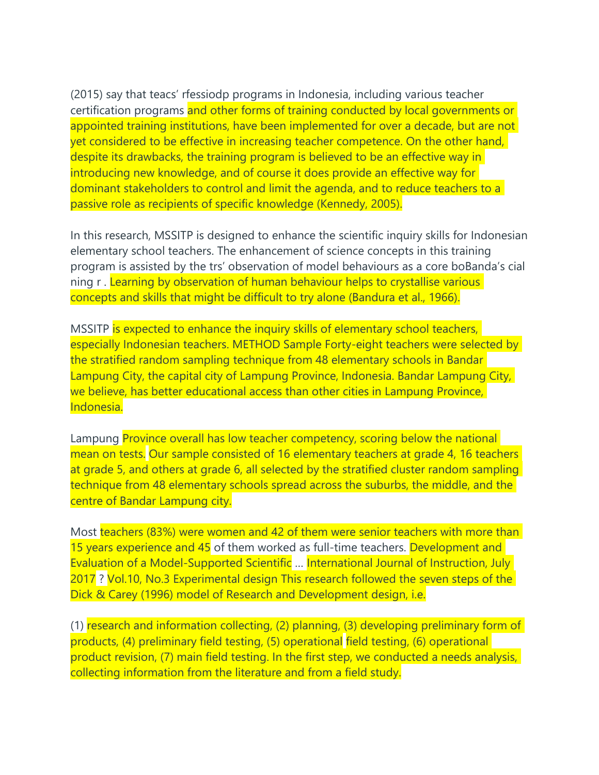(2015) say that teacs' rfessiodp programs in Indonesia, including various teacher certification programs and other forms of training conducted by local governments or appointed training institutions, have been implemented for over a decade, but are not yet considered to be effective in increasing teacher competence. On the other hand, despite its drawbacks, the training program is believed to be an effective way in introducing new knowledge, and of course it does provide an effective way for dominant stakeholders to control and limit the agenda, and to reduce teachers to a passive role as recipients of specific knowledge (Kennedy, 2005).

In this research, MSSITP is designed to enhance the scientific inquiry skills for Indonesian elementary school teachers. The enhancement of science concepts in this training program is assisted by the trs' observation of model behaviours as a core boBanda's cial ning r . Learning by observation of human behaviour helps to crystallise various concepts and skills that might be difficult to try alone (Bandura et al., 1966).

MSSITP is expected to enhance the inquiry skills of elementary school teachers, especially Indonesian teachers. METHOD Sample Forty-eight teachers were selected by the stratified random sampling technique from 48 elementary schools in Bandar Lampung City, the capital city of Lampung Province, Indonesia. Bandar Lampung City, we believe, has better educational access than other cities in Lampung Province, Indonesia.

Lampung Province overall has low teacher competency, scoring below the national mean on tests. Our sample consisted of 16 elementary teachers at grade 4, 16 teachers at grade 5, and others at grade 6, all selected by the stratified cluster random sampling technique from 48 elementary schools spread across the suburbs, the middle, and the centre of Bandar Lampung city.

Most teachers (83%) were women and 42 of them were senior teachers with more than 15 years experience and 45 of them worked as full-time teachers. Development and Evaluation of a Model-Supported Scientific … International Journal of Instruction, July 2017 ? Vol.10, No.3 Experimental design This research followed the seven steps of the Dick & Carey (1996) model of Research and Development design, i.e.

(1) research and information collecting, (2) planning, (3) developing preliminary form of products, (4) preliminary field testing, (5) operational field testing, (6) operational product revision, (7) main field testing. In the first step, we conducted a needs analysis, collecting information from the literature and from a field study.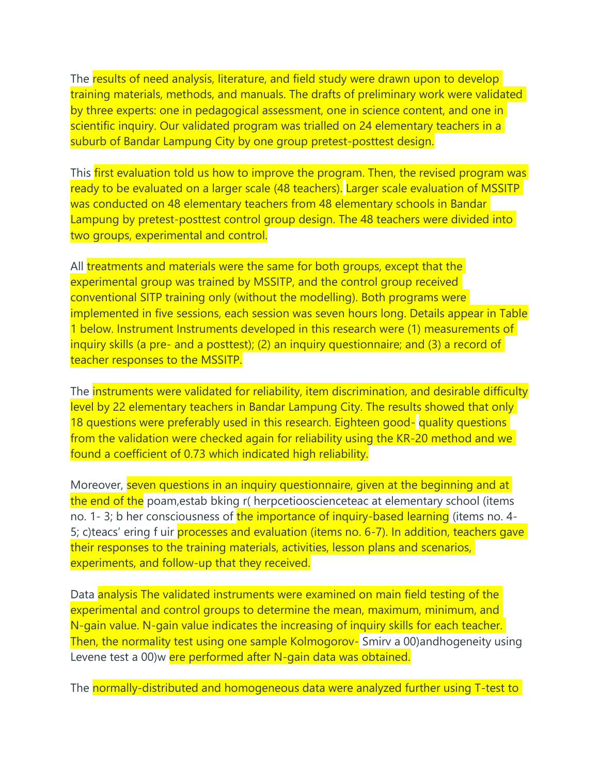The results of need analysis, literature, and field study were drawn upon to develop training materials, methods, and manuals. The drafts of preliminary work were validated by three experts: one in pedagogical assessment, one in science content, and one in scientific inquiry. Our validated program was trialled on 24 elementary teachers in a suburb of Bandar Lampung City by one group pretest-posttest design.

This first evaluation told us how to improve the program. Then, the revised program was ready to be evaluated on a larger scale (48 teachers). Larger scale evaluation of MSSITP was conducted on 48 elementary teachers from 48 elementary schools in Bandar Lampung by pretest-posttest control group design. The 48 teachers were divided into two groups, experimental and control.

All treatments and materials were the same for both groups, except that the experimental group was trained by MSSITP, and the control group received conventional SITP training only (without the modelling). Both programs were implemented in five sessions, each session was seven hours long. Details appear in Table 1 below. Instrument Instruments developed in this research were (1) measurements of inquiry skills (a pre- and a posttest); (2) an inquiry questionnaire; and (3) a record of teacher responses to the MSSITP.

The instruments were validated for reliability, item discrimination, and desirable difficulty level by 22 elementary teachers in Bandar Lampung City. The results showed that only 18 questions were preferably used in this research. Eighteen good- quality questions from the validation were checked again for reliability using the KR-20 method and we found a coefficient of 0.73 which indicated high reliability.

Moreover, seven questions in an inquiry questionnaire, given at the beginning and at the end of the poam, estab bking r( herpcetiooscienceteac at elementary school (items no. 1-3; b her consciousness of the importance of inquiry-based learning (items no. 4-5; c)teacs' ering f uir processes and evaluation (items no. 6-7). In addition, teachers gave their responses to the training materials, activities, lesson plans and scenarios, experiments, and follow-up that they received.

Data analysis The validated instruments were examined on main field testing of the experimental and control groups to determine the mean, maximum, minimum, and N-gain value. N-gain value indicates the increasing of inquiry skills for each teacher. Then, the normality test using one sample Kolmogorov- Smirv a 00) and hogeneity using Levene test a 00)w ere performed after N-gain data was obtained.

The normally-distributed and homogeneous data were analyzed further using T-test to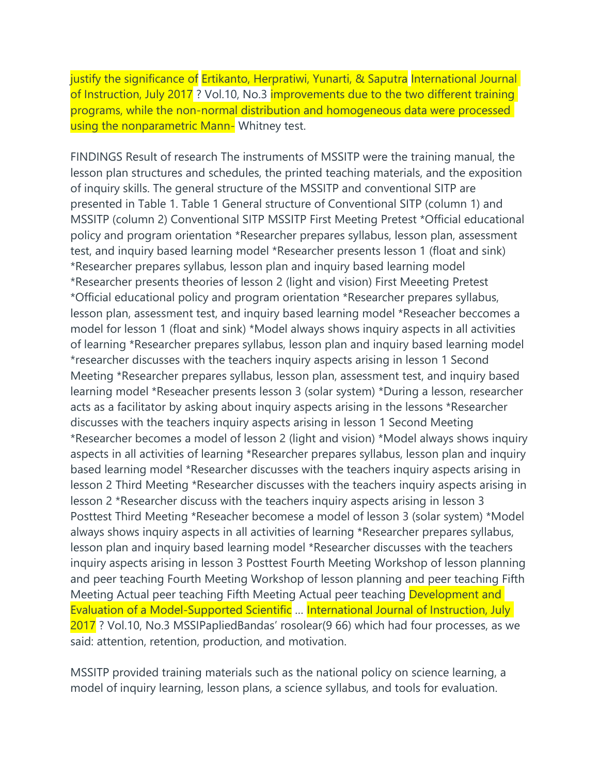justify the significance of Ertikanto, Herpratiwi, Yunarti, & Saputra International Journal of Instruction, July 2017 ? Vol.10, No.3 improvements due to the two different training programs, while the non-normal distribution and homogeneous data were processed using the nonparametric Mann- Whitney test.

FINDINGS Result of research The instruments of MSSITP were the training manual, the lesson plan structures and schedules, the printed teaching materials, and the exposition of inquiry skills. The general structure of the MSSITP and conventional SITP are presented in Table 1. Table 1 General structure of Conventional SITP (column 1) and MSSITP (column 2) Conventional SITP MSSITP First Meeting Pretest \*Official educational policy and program orientation \*Researcher prepares syllabus, lesson plan, assessment test, and inquiry based learning model \*Researcher presents lesson 1 (float and sink) \*Researcher prepares syllabus, lesson plan and inquiry based learning model \*Researcher presents theories of lesson 2 (light and vision) First Meeeting Pretest \*Official educational policy and program orientation \*Researcher prepares syllabus, lesson plan, assessment test, and inquiry based learning model \*Reseacher beccomes a model for lesson 1 (float and sink) \*Model always shows inquiry aspects in all activities of learning \*Researcher prepares syllabus, lesson plan and inquiry based learning model \*researcher discusses with the teachers inquiry aspects arising in lesson 1 Second Meeting \*Researcher prepares syllabus, lesson plan, assessment test, and inquiry based learning model \*Reseacher presents lesson 3 (solar system) \*During a lesson, researcher acts as a facilitator by asking about inquiry aspects arising in the lessons \*Researcher discusses with the teachers inquiry aspects arising in lesson 1 Second Meeting \*Researcher becomes a model of lesson 2 (light and vision) \*Model always shows inquiry aspects in all activities of learning \*Researcher prepares syllabus, lesson plan and inquiry based learning model \*Researcher discusses with the teachers inquiry aspects arising in lesson 2 Third Meeting \*Researcher discusses with the teachers inquiry aspects arising in lesson 2 \*Researcher discuss with the teachers inquiry aspects arising in lesson 3 Posttest Third Meeting \*Reseacher becomese a model of lesson 3 (solar system) \*Model always shows inquiry aspects in all activities of learning \*Researcher prepares syllabus, lesson plan and inquiry based learning model \*Researcher discusses with the teachers inquiry aspects arising in lesson 3 Posttest Fourth Meeting Workshop of lesson planning and peer teaching Fourth Meeting Workshop of lesson planning and peer teaching Fifth Meeting Actual peer teaching Fifth Meeting Actual peer teaching Development and Evaluation of a Model-Supported Scientific … International Journal of Instruction, July 2017 ? Vol.10, No.3 MSSIPapliedBandas' rosolear(9 66) which had four processes, as we said: attention, retention, production, and motivation.

MSSITP provided training materials such as the national policy on science learning, a model of inquiry learning, lesson plans, a science syllabus, and tools for evaluation.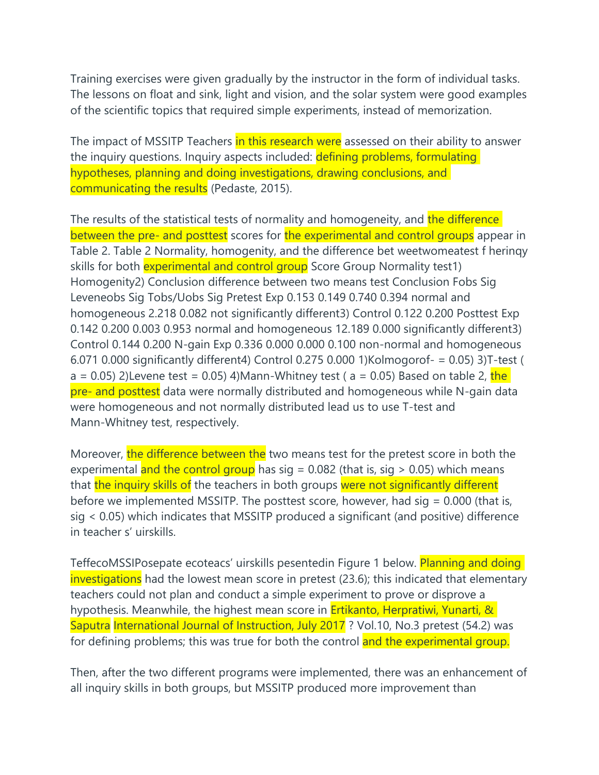Training exercises were given gradually by the instructor in the form of individual tasks. The lessons on float and sink, light and vision, and the solar system were good examples of the scientific topics that required simple experiments, instead of memorization.

The impact of MSSITP Teachers in this research were assessed on their ability to answer the inquiry questions. Inquiry aspects included: defining problems, formulating hypotheses, planning and doing investigations, drawing conclusions, and communicating the results (Pedaste, 2015).

The results of the statistical tests of normality and homogeneity, and the difference between the pre- and posttest scores for the experimental and control groups appear in Table 2. Table 2 Normality, homogenity, and the difference bet weetwomeatest f herinqy skills for both **experimental and control group** Score Group Normality test1) Homogenity2) Conclusion difference between two means test Conclusion Fobs Sig Leveneobs Sig Tobs/Uobs Sig Pretest Exp 0.153 0.149 0.740 0.394 normal and homogeneous 2.218 0.082 not significantly different3) Control 0.122 0.200 Posttest Exp 0.142 0.200 0.003 0.953 normal and homogeneous 12.189 0.000 significantly different3) Control 0.144 0.200 N-gain Exp 0.336 0.000 0.000 0.100 non-normal and homogeneous 6.071 0.000 significantly different4) Control 0.275 0.000 1)Kolmogorof- = 0.05) 3)T-test ( a = 0.05) 2) Levene test = 0.05) 4) Mann-Whitney test ( $a = 0.05$ ) Based on table 2, the pre- and posttest data were normally distributed and homogeneous while N-gain data were homogeneous and not normally distributed lead us to use T-test and Mann-Whitney test, respectively.

Moreover, the difference between the two means test for the pretest score in both the experimental and the control group has sig =  $0.082$  (that is, sig > 0.05) which means that the inquiry skills of the teachers in both groups were not significantly different before we implemented MSSITP. The posttest score, however, had  $sig = 0.000$  (that is, sig < 0.05) which indicates that MSSITP produced a significant (and positive) difference in teacher s' uirskills.

TeffecoMSSIPosepate ecoteacs' uirskills pesentedin Figure 1 below. Planning and doing investigations had the lowest mean score in pretest (23.6); this indicated that elementary teachers could not plan and conduct a simple experiment to prove or disprove a hypothesis. Meanwhile, the highest mean score in **Ertikanto, Herpratiwi, Yunarti, &** Saputra International Journal of Instruction, July 2017 ? Vol.10, No.3 pretest (54.2) was for defining problems; this was true for both the control and the experimental group.

Then, after the two different programs were implemented, there was an enhancement of all inquiry skills in both groups, but MSSITP produced more improvement than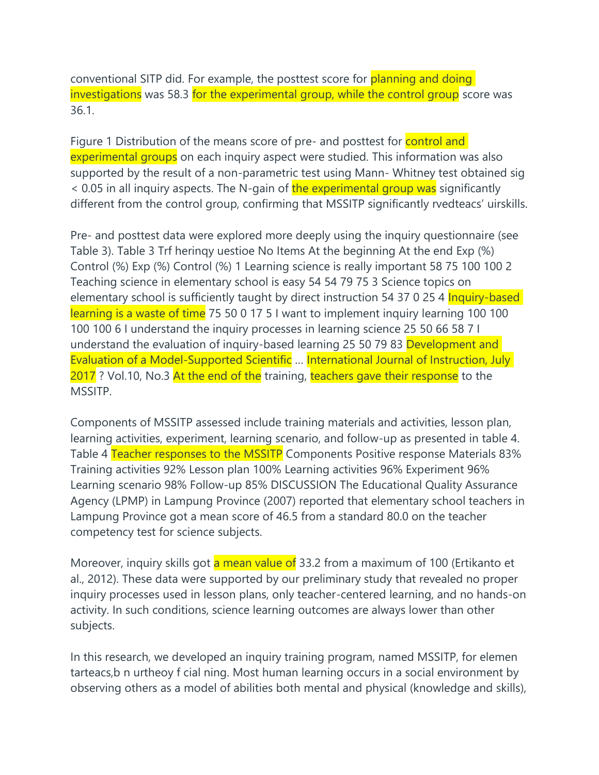conventional SITP did. For example, the posttest score for planning and doing investigations was 58.3 for the experimental group, while the control group score was 36.1.

Figure 1 Distribution of the means score of pre- and posttest for control and experimental groups on each inquiry aspect were studied. This information was also supported by the result of a non-parametric test using Mann- Whitney test obtained sig < 0.05 in all inquiry aspects. The N-gain of the experimental group was significantly different from the control group, confirming that MSSITP significantly rvedteacs' uirskills.

Pre- and posttest data were explored more deeply using the inquiry questionnaire (see Table 3). Table 3 Trf herinqy uestioe No Items At the beginning At the end Exp (%) Control (%) Exp (%) Control (%) 1 Learning science is really important 58 75 100 100 2 Teaching science in elementary school is easy 54 54 79 75 3 Science topics on elementary school is sufficiently taught by direct instruction 54 37 0 25 4 Inquiry-based learning is a waste of time 75 50 0 17 5 I want to implement inquiry learning 100 100 100 100 6 I understand the inquiry processes in learning science 25 50 66 58 7 I understand the evaluation of inquiry-based learning 25 50 79 83 Development and Evaluation of a Model-Supported Scientific … International Journal of Instruction, July 2017 ? Vol.10, No.3 At the end of the training, teachers gave their response to the MSSITP.

Components of MSSITP assessed include training materials and activities, lesson plan, learning activities, experiment, learning scenario, and follow-up as presented in table 4. Table 4 Teacher responses to the MSSITP Components Positive response Materials 83% Training activities 92% Lesson plan 100% Learning activities 96% Experiment 96% Learning scenario 98% Follow-up 85% DISCUSSION The Educational Quality Assurance Agency (LPMP) in Lampung Province (2007) reported that elementary school teachers in Lampung Province got a mean score of 46.5 from a standard 80.0 on the teacher competency test for science subjects.

Moreover, inquiry skills got a mean value of 33.2 from a maximum of 100 (Ertikanto et al., 2012). These data were supported by our preliminary study that revealed no proper inquiry processes used in lesson plans, only teacher-centered learning, and no hands-on activity. In such conditions, science learning outcomes are always lower than other subjects.

In this research, we developed an inquiry training program, named MSSITP, for elemen tarteacs,b n urtheoy f cial ning. Most human learning occurs in a social environment by observing others as a model of abilities both mental and physical (knowledge and skills),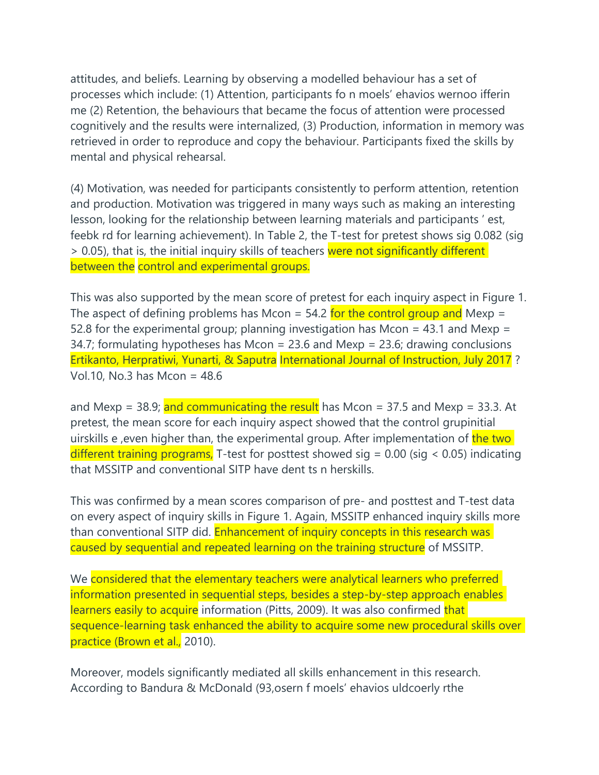attitudes, and beliefs. Learning by observing a modelled behaviour has a set of processes which include: (1) Attention, participants fo n moels' ehavios wernoo ifferin me (2) Retention, the behaviours that became the focus of attention were processed cognitively and the results were internalized, (3) Production, information in memory was retrieved in order to reproduce and copy the behaviour. Participants fixed the skills by mental and physical rehearsal.

(4) Motivation, was needed for participants consistently to perform attention, retention and production. Motivation was triggered in many ways such as making an interesting lesson, looking for the relationship between learning materials and participants ' est, feebk rd for learning achievement). In Table 2, the T-test for pretest shows sig 0.082 (sig > 0.05), that is, the initial inquiry skills of teachers were not significantly different between the control and experimental groups.

This was also supported by the mean score of pretest for each inquiry aspect in Figure 1. The aspect of defining problems has Mcon =  $54.2$  for the control group and Mexp = 52.8 for the experimental group; planning investigation has Mcon = 43.1 and Mexp = 34.7; formulating hypotheses has Mcon = 23.6 and Mexp = 23.6; drawing conclusions Ertikanto, Herpratiwi, Yunarti, & Saputra International Journal of Instruction, July 2017 ? Vol.10, No.3 has Mcon = 48.6

and Mexp = 38.9; and communicating the result has Mcon = 37.5 and Mexp = 33.3. At pretest, the mean score for each inquiry aspect showed that the control grupinitial uirskills e, even higher than, the experimental group. After implementation of the two different training programs, T-test for posttest showed sig =  $0.00$  (sig <  $0.05$ ) indicating that MSSITP and conventional SITP have dent ts n herskills.

This was confirmed by a mean scores comparison of pre- and posttest and T-test data on every aspect of inquiry skills in Figure 1. Again, MSSITP enhanced inquiry skills more than conventional SITP did. Enhancement of inquiry concepts in this research was caused by sequential and repeated learning on the training structure of MSSITP.

We considered that the elementary teachers were analytical learners who preferred information presented in sequential steps, besides a step-by-step approach enables learners easily to acquire information (Pitts, 2009). It was also confirmed that sequence-learning task enhanced the ability to acquire some new procedural skills over practice (Brown et al., 2010).

Moreover, models significantly mediated all skills enhancement in this research. According to Bandura & McDonald (93,osern f moels' ehavios uldcoerly rthe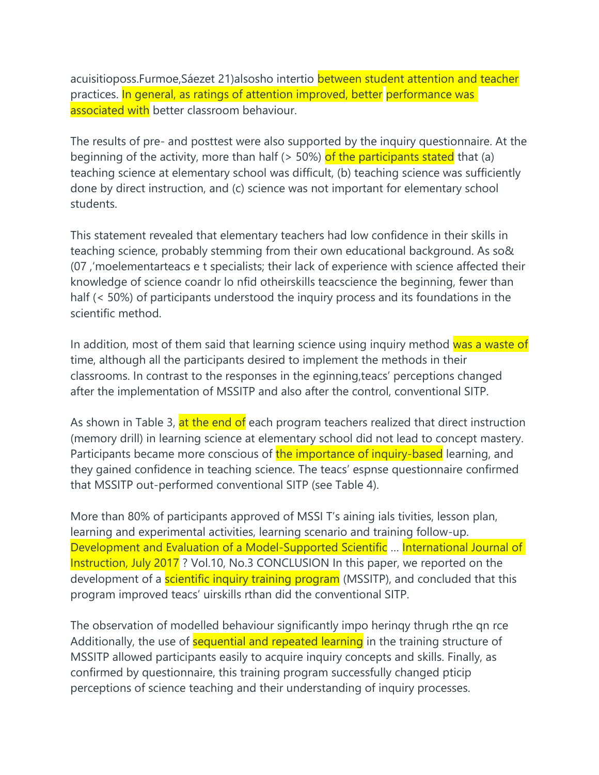acuisitioposs.Furmoe,Sáezet 21)alsosho intertio between student attention and teacher practices. In general, as ratings of attention improved, better performance was associated with better classroom behaviour.

The results of pre- and posttest were also supported by the inquiry questionnaire. At the beginning of the activity, more than half (> 50%) of the participants stated that (a) teaching science at elementary school was difficult, (b) teaching science was sufficiently done by direct instruction, and (c) science was not important for elementary school students.

This statement revealed that elementary teachers had low confidence in their skills in teaching science, probably stemming from their own educational background. As so& (07 ,'moelementarteacs e t specialists; their lack of experience with science affected their knowledge of science coandr lo nfid otheirskills teacscience the beginning, fewer than half (< 50%) of participants understood the inquiry process and its foundations in the scientific method.

In addition, most of them said that learning science using inquiry method was a waste of time, although all the participants desired to implement the methods in their classrooms. In contrast to the responses in the eginning,teacs' perceptions changed after the implementation of MSSITP and also after the control, conventional SITP.

As shown in Table 3, at the end of each program teachers realized that direct instruction (memory drill) in learning science at elementary school did not lead to concept mastery. Participants became more conscious of the importance of inquiry-based learning, and they gained confidence in teaching science. The teacs' espnse questionnaire confirmed that MSSITP out-performed conventional SITP (see Table 4).

More than 80% of participants approved of MSSI T's aining ials tivities, lesson plan, learning and experimental activities, learning scenario and training follow-up. Development and Evaluation of a Model-Supported Scientific … International Journal of Instruction, July 2017 ? Vol.10, No.3 CONCLUSION In this paper, we reported on the development of a **scientific inquiry training program** (MSSITP), and concluded that this program improved teacs' uirskills rthan did the conventional SITP.

The observation of modelled behaviour significantly impo herinqy thrugh rthe qn rce Additionally, the use of sequential and repeated learning in the training structure of MSSITP allowed participants easily to acquire inquiry concepts and skills. Finally, as confirmed by questionnaire, this training program successfully changed pticip perceptions of science teaching and their understanding of inquiry processes.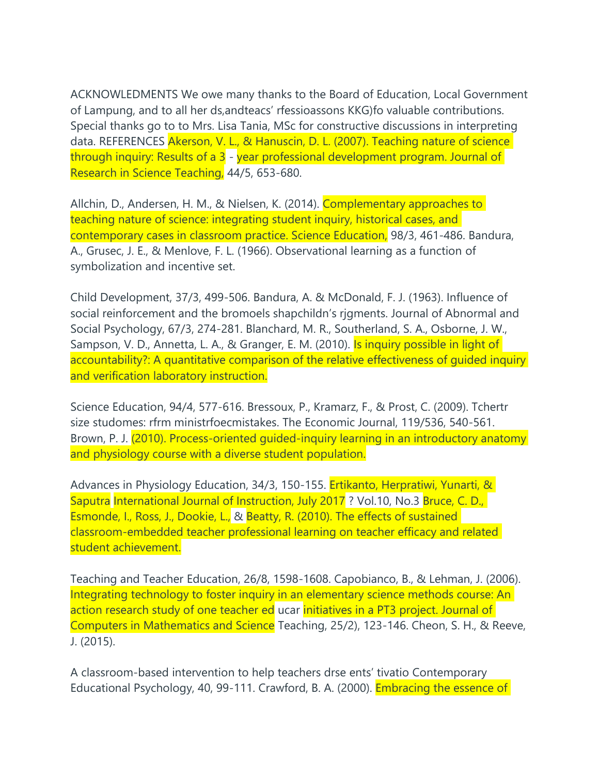ACKNOWLEDMENTS We owe many thanks to the Board of Education, Local Government of Lampung, and to all her ds,andteacs' rfessioassons KKG)fo valuable contributions. Special thanks go to to Mrs. Lisa Tania, MSc for constructive discussions in interpreting data. REFERENCES Akerson, V. L., & Hanuscin, D. L. (2007). Teaching nature of science through inquiry: Results of a 3 - year professional development program. Journal of Research in Science Teaching, 44/5, 653-680.

Allchin, D., Andersen, H. M., & Nielsen, K. (2014). Complementary approaches to teaching nature of science: integrating student inquiry, historical cases, and contemporary cases in classroom practice. Science Education, 98/3, 461-486. Bandura, A., Grusec, J. E., & Menlove, F. L. (1966). Observational learning as a function of symbolization and incentive set.

Child Development, 37/3, 499-506. Bandura, A. & McDonald, F. J. (1963). Influence of social reinforcement and the bromoels shapchildn's rjgments. Journal of Abnormal and Social Psychology, 67/3, 274-281. Blanchard, M. R., Southerland, S. A., Osborne, J. W., Sampson, V. D., Annetta, L. A., & Granger, E. M. (2010). Is inquiry possible in light of accountability?: A quantitative comparison of the relative effectiveness of guided inquiry and verification laboratory instruction.

Science Education, 94/4, 577-616. Bressoux, P., Kramarz, F., & Prost, C. (2009). Tchertr size studomes: rfrm ministrfoecmistakes. The Economic Journal, 119/536, 540-561. Brown, P. J. (2010). Process-oriented guided-inquiry learning in an introductory anatomy and physiology course with a diverse student population.

Advances in Physiology Education, 34/3, 150-155. Ertikanto, Herpratiwi, Yunarti, & Saputra International Journal of Instruction, July 2017 ? Vol.10, No.3 Bruce, C. D., Esmonde, I., Ross, J., Dookie, L., & Beatty, R. (2010). The effects of sustained classroom-embedded teacher professional learning on teacher efficacy and related student achievement.

Teaching and Teacher Education, 26/8, 1598-1608. Capobianco, B., & Lehman, J. (2006). Integrating technology to foster inquiry in an elementary science methods course: An action research study of one teacher ed ucar initiatives in a PT3 project. Journal of Computers in Mathematics and Science Teaching, 25/2), 123-146. Cheon, S. H., & Reeve, J. (2015).

A classroom-based intervention to help teachers drse ents' tivatio Contemporary Educational Psychology, 40, 99-111. Crawford, B. A. (2000). Embracing the essence of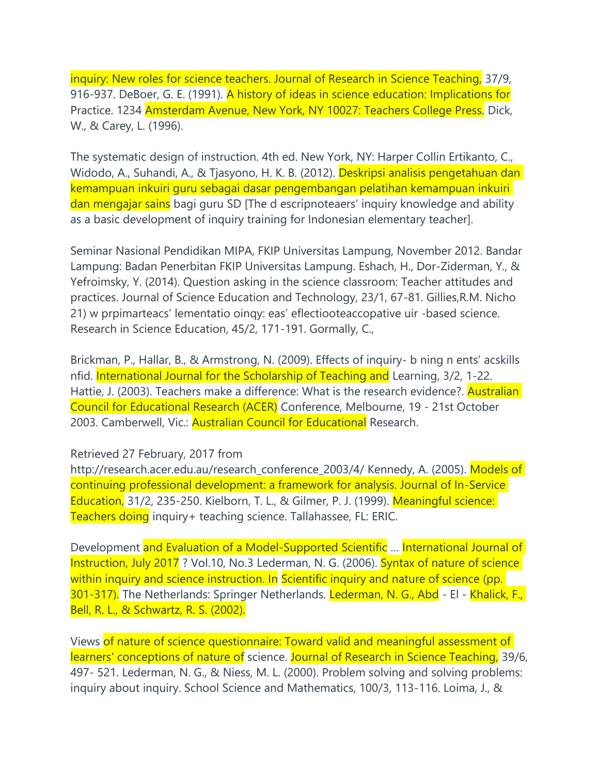inquiry: New roles for science teachers. Journal of Research in Science Teaching, 37/9, 916-937. DeBoer, G. E. (1991). A history of ideas in science education: Implications for Practice. 1234 Amsterdam Avenue, New York, NY 10027: Teachers College Press. Dick, W., & Carey, L. (1996).

The systematic design of instruction. 4th ed. New York, NY: Harper Collin Ertikanto, C., Widodo, A., Suhandi, A., & Tjasyono, H. K. B. (2012). Deskripsi analisis pengetahuan dan kemampuan inkuiri guru sebagai dasar pengembangan pelatihan kemampuan inkuiri dan mengajar sains bagi guru SD [The d escripnoteaers' inquiry knowledge and ability as a basic development of inquiry training for Indonesian elementary teacher].

Seminar Nasional Pendidikan MIPA, FKIP Universitas Lampung, November 2012. Bandar Lampung: Badan Penerbitan FKIP Universitas Lampung. Eshach, H., Dor-Ziderman, Y., & Yefroimsky, Y. (2014). Question asking in the science classroom: Teacher attitudes and practices. Journal of Science Education and Technology, 23/1, 67-81. Gillies,R.M. Nicho 21) w prpimarteacs' lementatio oinqy: eas' eflectiooteaccopative uir -based science. Research in Science Education, 45/2, 171-191. Gormally, C.,

Brickman, P., Hallar, B., & Armstrong, N. (2009). Effects of inquiry- b ning n ents' acskills nfid. International Journal for the Scholarship of Teaching and Learning, 3/2, 1-22. Hattie, J. (2003). Teachers make a difference: What is the research evidence?. **Australian** Council for Educational Research (ACER) Conference, Melbourne, 19 - 21st October 2003. Camberwell, Vic.: Australian Council for Educational Research.

## Retrieved 27 February, 2017 from

http://research.acer.edu.au/research\_conference\_2003/4/ Kennedy, A. (2005). Models of continuing professional development: a framework for analysis. Journal of In-Service Education, 31/2, 235-250. Kielborn, T. L., & Gilmer, P. J. (1999). Meaningful science: Teachers doing inquiry+ teaching science. Tallahassee, FL: ERIC.

Development and Evaluation of a Model-Supported Scientific ... International Journal of Instruction, July 2017 ? Vol.10, No.3 Lederman, N. G. (2006). Syntax of nature of science within inquiry and science instruction. In Scientific inquiry and nature of science (pp. 301-317). The Netherlands: Springer Netherlands. Lederman, N. G., Abd - El - Khalick, F., Bell, R. L., & Schwartz, R. S. (2002).

Views of nature of science questionnaire: Toward valid and meaningful assessment of learners' conceptions of nature of science. Journal of Research in Science Teaching, 39/6, 497- 521. Lederman, N. G., & Niess, M. L. (2000). Problem solving and solving problems: inquiry about inquiry. School Science and Mathematics, 100/3, 113-116. Loima, J., &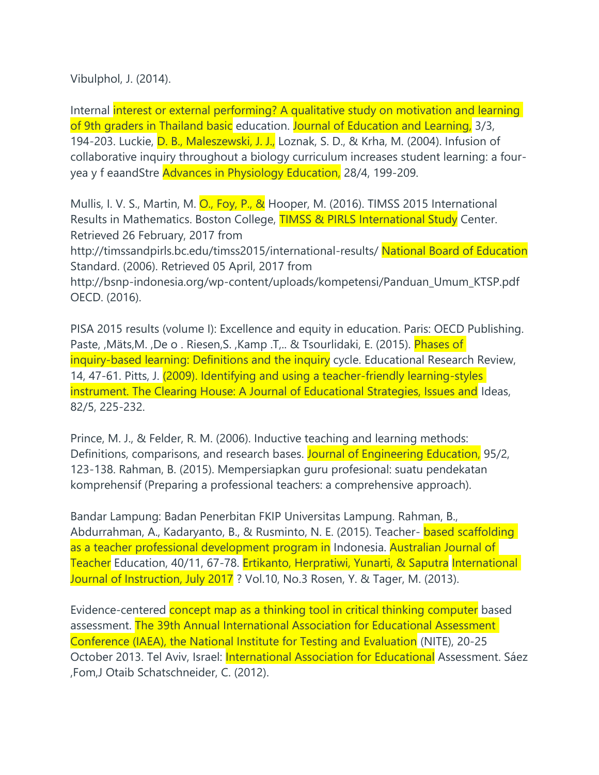Vibulphol, J. (2014).

Internal interest or external performing? A qualitative study on motivation and learning of 9th graders in Thailand basic education. Journal of Education and Learning, 3/3, 194-203. Luckie, D. B., Maleszewski, J. J., Loznak, S. D., & Krha, M. (2004). Infusion of collaborative inquiry throughout a biology curriculum increases student learning: a fouryea y f eaandStre Advances in Physiology Education, 28/4, 199-209.

Mullis, I. V. S., Martin, M. O., Foy, P., & Hooper, M. (2016). TIMSS 2015 International Results in Mathematics. Boston College, TIMSS & PIRLS International Study Center. Retrieved 26 February, 2017 from

http://timssandpirls.bc.edu/timss2015/international-results/ National Board of Education Standard. (2006). Retrieved 05 April, 2017 from

http://bsnp-indonesia.org/wp-content/uploads/kompetensi/Panduan\_Umum\_KTSP.pdf OECD. (2016).

PISA 2015 results (volume I): Excellence and equity in education. Paris: OECD Publishing. Paste, ,Mäts,M., De o. Riesen, S., Kamp .T... & Tsourlidaki, E. (2015). *Phases of* inquiry-based learning: Definitions and the inquiry cycle. Educational Research Review, 14, 47-61. Pitts, J. (2009). Identifying and using a teacher-friendly learning-styles instrument. The Clearing House: A Journal of Educational Strategies, Issues and Ideas, 82/5, 225-232.

Prince, M. J., & Felder, R. M. (2006). Inductive teaching and learning methods: Definitions, comparisons, and research bases. Journal of Engineering Education, 95/2, 123-138. Rahman, B. (2015). Mempersiapkan guru profesional: suatu pendekatan komprehensif (Preparing a professional teachers: a comprehensive approach).

Bandar Lampung: Badan Penerbitan FKIP Universitas Lampung. Rahman, B., Abdurrahman, A., Kadaryanto, B., & Rusminto, N. E. (2015). Teacher- based scaffolding as a teacher professional development program in Indonesia. Australian Journal of Teacher Education, 40/11, 67-78. Ertikanto, Herpratiwi, Yunarti, & Saputra International Journal of Instruction, July 2017 ? Vol.10, No.3 Rosen, Y. & Tager, M. (2013).

Evidence-centered concept map as a thinking tool in critical thinking computer based assessment. The 39th Annual International Association for Educational Assessment Conference (IAEA), the National Institute for Testing and Evaluation (NITE), 20-25 October 2013. Tel Aviv, Israel: International Association for Educational Assessment. Sáez ,Fom,J Otaib Schatschneider, C. (2012).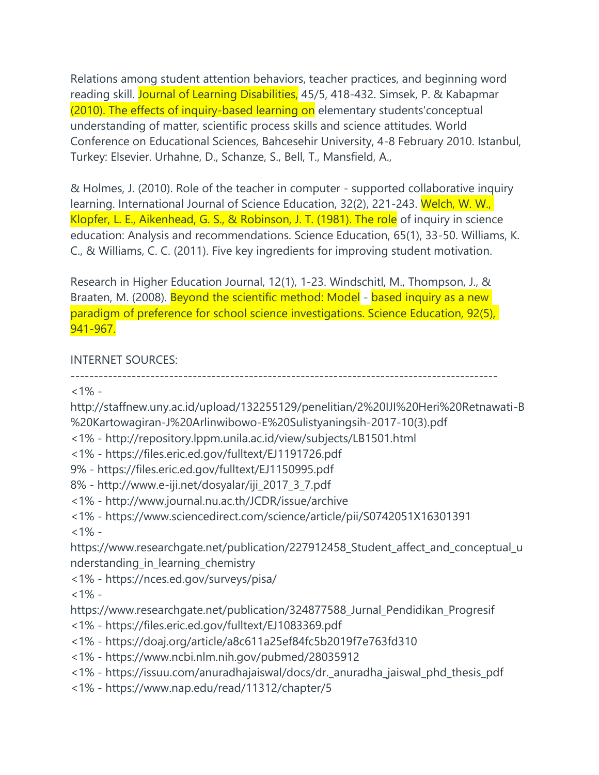Relations among student attention behaviors, teacher practices, and beginning word reading skill. Journal of Learning Disabilities, 45/5, 418-432. Simsek, P. & Kabapmar (2010). The effects of inquiry-based learning on elementary students'conceptual understanding of matter, scientific process skills and science attitudes. World Conference on Educational Sciences, Bahcesehir University, 4-8 February 2010. Istanbul, Turkey: Elsevier. Urhahne, D., Schanze, S., Bell, T., Mansfield, A.,

& Holmes, J. (2010). Role of the teacher in computer - supported collaborative inquiry learning. International Journal of Science Education, 32(2), 221-243. Welch, W. W., Klopfer, L. E., Aikenhead, G. S., & Robinson, J. T. (1981). The role of inquiry in science education: Analysis and recommendations. Science Education, 65(1), 33-50. Williams, K. C., & Williams, C. C. (2011). Five key ingredients for improving student motivation.

Research in Higher Education Journal, 12(1), 1-23. Windschitl, M., Thompson, J., & Braaten, M. (2008). Beyond the scientific method: Model - based inquiry as a new paradigm of preference for school science investigations. Science Education, 92(5), 941-967.

## INTERNET SOURCES:

-------------------------------------------------------------------------------------------

 $<1\%$  -

http://staffnew.uny.ac.id/upload/132255129/penelitian/2%20IJI%20Heri%20Retnawati-B %20Kartowagiran-J%20Arlinwibowo-E%20Sulistyaningsih-2017-10(3).pdf

- <1% http://repository.lppm.unila.ac.id/view/subjects/LB1501.html
- <1% https://files.eric.ed.gov/fulltext/EJ1191726.pdf
- 9% https://files.eric.ed.gov/fulltext/EJ1150995.pdf
- 8% http://www.e-iji.net/dosyalar/iji\_2017\_3\_7.pdf
- <1% http://www.journal.nu.ac.th/JCDR/issue/archive
- <1% https://www.sciencedirect.com/science/article/pii/S0742051X16301391

 $<1\%$  -

https://www.researchgate.net/publication/227912458\_Student\_affect\_and\_conceptual\_u nderstanding\_in\_learning\_chemistry

<1% - https://nces.ed.gov/surveys/pisa/

 $<1\%$  -

https://www.researchgate.net/publication/324877588\_Jurnal\_Pendidikan\_Progresif

- <1% https://files.eric.ed.gov/fulltext/EJ1083369.pdf
- <1% https://doaj.org/article/a8c611a25ef84fc5b2019f7e763fd310
- <1% https://www.ncbi.nlm.nih.gov/pubmed/28035912
- <1% https://issuu.com/anuradhajaiswal/docs/dr.\_anuradha\_jaiswal\_phd\_thesis\_pdf
- <1% https://www.nap.edu/read/11312/chapter/5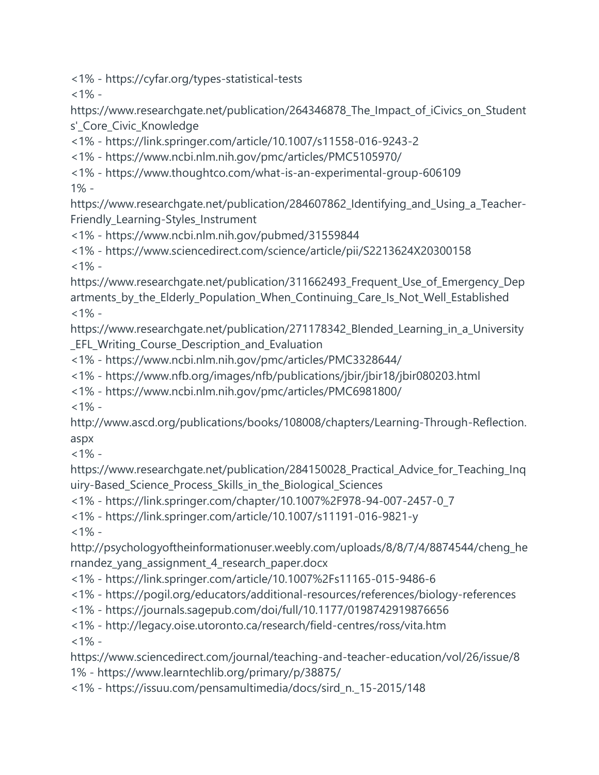<1% - https://cyfar.org/types-statistical-tests

 $<1\%$  -

https://www.researchgate.net/publication/264346878\_The\_Impact\_of\_iCivics\_on\_Student s'\_Core\_Civic\_Knowledge

<1% - https://link.springer.com/article/10.1007/s11558-016-9243-2

<1% - https://www.ncbi.nlm.nih.gov/pmc/articles/PMC5105970/

<1% - https://www.thoughtco.com/what-is-an-experimental-group-606109 1% -

https://www.researchgate.net/publication/284607862\_Identifying\_and\_Using\_a\_Teacher-Friendly\_Learning-Styles\_Instrument

<1% - https://www.ncbi.nlm.nih.gov/pubmed/31559844

<1% - https://www.sciencedirect.com/science/article/pii/S2213624X20300158  $<1\%$  -

https://www.researchgate.net/publication/311662493 Frequent Use of Emergency Dep artments\_by\_the\_Elderly\_Population\_When\_Continuing\_Care\_Is\_Not\_Well\_Established  $<1\%$  -

https://www.researchgate.net/publication/271178342\_Blended\_Learning\_in\_a\_University EFL Writing Course Description and Evaluation

<1% - https://www.ncbi.nlm.nih.gov/pmc/articles/PMC3328644/

<1% - https://www.nfb.org/images/nfb/publications/jbir/jbir18/jbir080203.html

<1% - https://www.ncbi.nlm.nih.gov/pmc/articles/PMC6981800/

 $<1\%$  -

http://www.ascd.org/publications/books/108008/chapters/Learning-Through-Reflection. aspx

 $<1\%$  -

https://www.researchgate.net/publication/284150028 Practical Advice for Teaching Ing uiry-Based\_Science\_Process\_Skills\_in\_the\_Biological\_Sciences

<1% - https://link.springer.com/chapter/10.1007%2F978-94-007-2457-0\_7

<1% - https://link.springer.com/article/10.1007/s11191-016-9821-y

 $<1\%$  -

http://psychologyoftheinformationuser.weebly.com/uploads/8/8/7/4/8874544/cheng\_he rnandez\_yang\_assignment\_4\_research\_paper.docx

<1% - https://link.springer.com/article/10.1007%2Fs11165-015-9486-6

<1% - https://pogil.org/educators/additional-resources/references/biology-references

<1% - https://journals.sagepub.com/doi/full/10.1177/0198742919876656

<1% - http://legacy.oise.utoronto.ca/research/field-centres/ross/vita.htm  $<1\%$  -

https://www.sciencedirect.com/journal/teaching-and-teacher-education/vol/26/issue/8 1% - https://www.learntechlib.org/primary/p/38875/

<1% - https://issuu.com/pensamultimedia/docs/sird\_n.\_15-2015/148